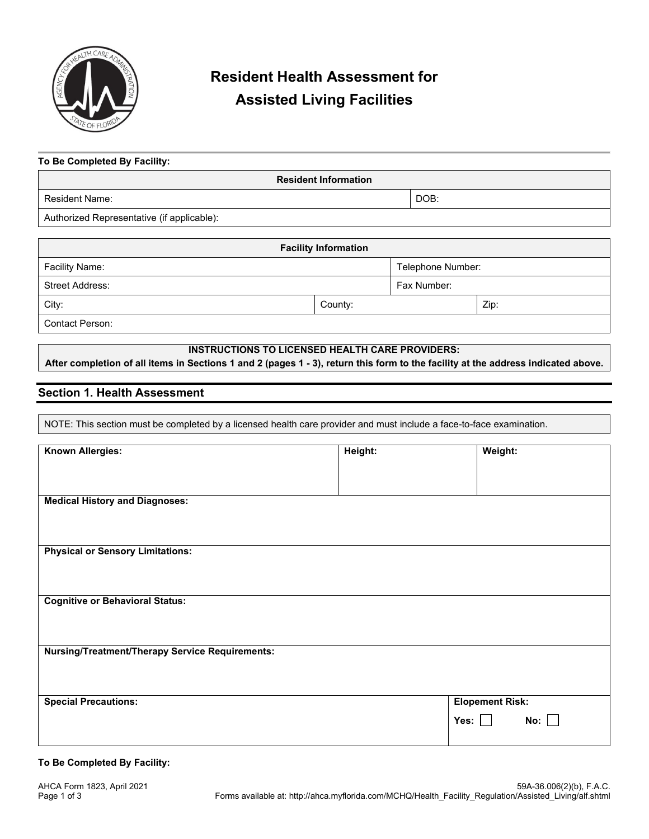

# **Resident Health Assessment for Assisted Living Facilities**

| To Be Completed By Facility: |                             |      |
|------------------------------|-----------------------------|------|
|                              | <b>Resident Information</b> |      |
| Resident Name:               |                             | DOB: |

Authorized Representative (if applicable):

| <b>Facility Information</b> |         |                   |      |
|-----------------------------|---------|-------------------|------|
| Facility Name:              |         | Telephone Number: |      |
| <b>Street Address:</b>      |         | Fax Number:       |      |
| City:                       | County: |                   | Zip: |
| Contact Person:             |         |                   |      |

**INSTRUCTIONS TO LICENSED HEALTH CARE PROVIDERS: After completion of all items in Sections 1 and 2 (pages 1 - 3), return this form to the facility at the address indicated above.**

# **Section 1. Health Assessment**

NOTE: This section must be completed by a licensed health care provider and must include a face-to-face examination.

| <b>Known Allergies:</b>                                | Height: | Weight:                |
|--------------------------------------------------------|---------|------------------------|
|                                                        |         |                        |
|                                                        |         |                        |
| <b>Medical History and Diagnoses:</b>                  |         |                        |
|                                                        |         |                        |
|                                                        |         |                        |
| <b>Physical or Sensory Limitations:</b>                |         |                        |
|                                                        |         |                        |
|                                                        |         |                        |
| <b>Cognitive or Behavioral Status:</b>                 |         |                        |
|                                                        |         |                        |
|                                                        |         |                        |
| <b>Nursing/Treatment/Therapy Service Requirements:</b> |         |                        |
|                                                        |         |                        |
|                                                        |         |                        |
| <b>Special Precautions:</b>                            |         | <b>Elopement Risk:</b> |
|                                                        |         | No:<br>Yes: $\Box$     |
|                                                        |         |                        |

#### **To Be Completed By Facility:**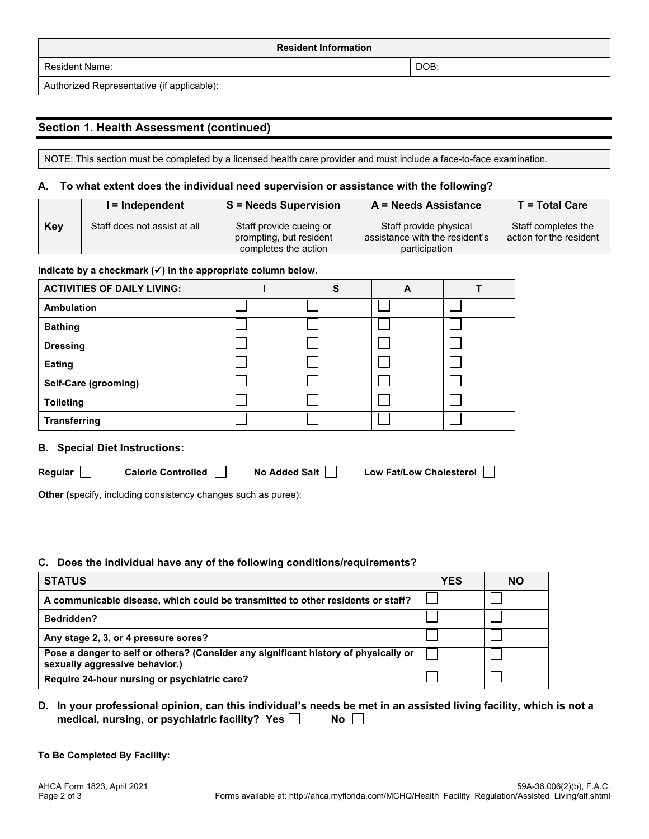| <b>Resident Information</b>                                                             |      |  |
|-----------------------------------------------------------------------------------------|------|--|
| Resident Name:                                                                          | DOB: |  |
| $\cdots$<br>$\overline{\phantom{a}}$<br>$\blacksquare$<br>$\mathbf{r}$<br>$\cdots$<br>. |      |  |

Authorized Representative (if applicable):

# **Section 1. Health Assessment (continued)**

NOTE: This section must be completed by a licensed health care provider and must include a face-to-face examination.

#### **A. To what extent does the individual need supervision or assistance with the following?**

|     | l = Independent              | <b>S</b> = Needs Supervision                                               | A = Needs Assistance                                                      | $T = Total Care$                               |
|-----|------------------------------|----------------------------------------------------------------------------|---------------------------------------------------------------------------|------------------------------------------------|
| Key | Staff does not assist at all | Staff provide cueing or<br>prompting, but resident<br>completes the action | Staff provide physical<br>assistance with the resident's<br>participation | Staff completes the<br>action for the resident |

#### Indicate by a checkmark  $(\checkmark)$  in the appropriate column below.

| <b>ACTIVITIES OF DAILY LIVING:</b> | S | A |  |
|------------------------------------|---|---|--|
| <b>Ambulation</b>                  |   |   |  |
| <b>Bathing</b>                     |   |   |  |
| <b>Dressing</b>                    |   |   |  |
| Eating                             |   |   |  |
| Self-Care (grooming)               |   |   |  |
| <b>Toileting</b>                   |   |   |  |
| <b>Transferring</b>                |   |   |  |

## **B. Special Diet Instructions:**

| וו | п<br>ш |
|----|--------|
|    |        |

■ Calorie Controlled ■ No Added Salt ■ Low Fat/Low Cholesterol

**Other (specify, including consistency changes such as puree): \_\_\_\_\_** 

### **C. Does the individual have any of the following conditions/requirements?**

| <b>STATUS</b>                                                                                                         | <b>YES</b> | <b>NO</b> |
|-----------------------------------------------------------------------------------------------------------------------|------------|-----------|
| A communicable disease, which could be transmitted to other residents or staff?                                       |            |           |
| <b>Bedridden?</b>                                                                                                     |            |           |
| Any stage 2, 3, or 4 pressure sores?                                                                                  |            |           |
| Pose a danger to self or others? (Consider any significant history of physically or<br>sexually aggressive behavior.) |            |           |
| Require 24-hour nursing or psychiatric care?                                                                          |            |           |

## **D. In your professional opinion, can this individual's needs be met in an assisted living facility, which is not a**  medical, nursing, or psychiatric facility? Yes  $\Box$  No  $\Box$